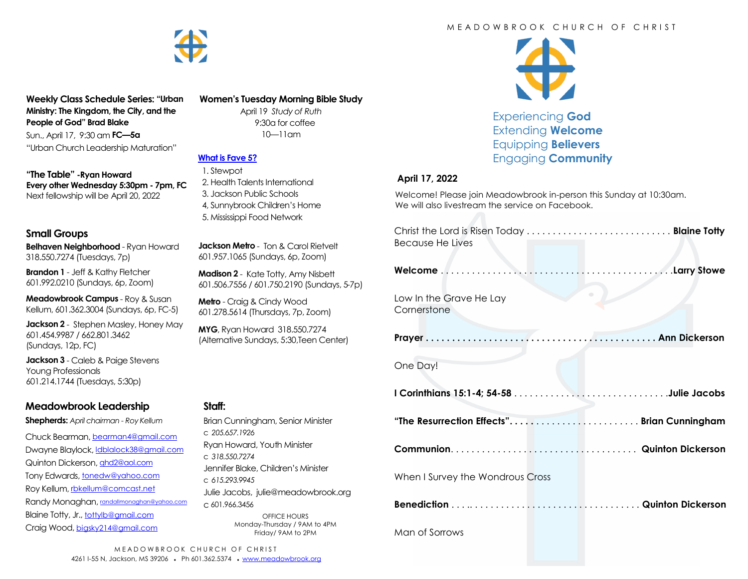

**Weekly Class Schedule Series: "Urban Ministry: The Kingdom, the City, and the People of God" Brad Blake**

Sun., April 17, 9:30 am **FC—5a** "Urban Church Leadership Maturation"

**"The Table" -Ryan Howard Every other Wednesday 5:30pm - 7pm, FC** Next fellowship will be April 20, 2022

#### **Small Groups**

**Belhaven Neighborhood** - Ryan Howard 318.550.7274 (Tuesdays, 7p)

**Brandon 1** - Jeff & Kathy Fletcher 601.992.0210 (Sundays, 6p, Zoom)

**Meadowbrook Campus** - Roy & Susan Kellum, 601.362.3004 (Sundays, 6p, FC-5)

**Jackson 2** - Stephen Masley, Honey May 601.454.9987 / 662.801.3462 (Sundays, 12p, FC)

**Jackson 3** - Caleb & Paige Stevens Young Professionals 601.214.1744 (Tuesdays, 5:30p)

# **Meadowbrook Leadership**

**Shepherds:** *April chairman - Roy Kellum*

Chuck Bearman, [bearman4@gmail.com](mailto:bearman4@gmail.com) Dwayne Blaylock, *dblalock38@gmail.com* Quinton Dickerson, [qhd2@aol.com](mailto:qhd2@aol.com) Tony Edwards, [tonedw@yahoo.com](mailto:tonedw@yahoo.com) Roy Kellum, [rbkellum@comcast.net](mailto:rbkellum@comcast.net) Randy Monaghan, [randallmonaghan@yahoo.com](mailto:randallmonaghan@yahoo.com) Blaine Totty, Jr., [tottylb@gmail.com](mailto:tottylb@gmail.com) Craig Wood, [bigsky214@gmail.com](mailto:bigsky214@gmail.com)

### **Women's Tuesday Morning Bible Study**

April 19 *Study of Ruth*  9:30a for coffee 10—11am

# **[What is Fave 5?](https://meadowbrook.ccbchurch.com/group_detail.php?group_id=131)**

 1. Stewpot 2. Health Talents International 3. Jackson Public Schools 4, Sunnybrook Children's Home 5. Mississippi Food Network

**Jackson Metro** - Ton & Carol Rietvelt 601.957.1065 (Sundays, 6p, Zoom)

**Madison 2** - Kate Totty, Amy Nisbett 601.506.7556 / 601.750.2190 (Sundays, 5-7p)

**Metro** - Craig & Cindy Wood 601.278.5614 (Thursdays, 7p, Zoom)

**MYG**, Ryan Howard 318.550.7274 (Alternative Sundays, 5:30,Teen Center)

### **Staff:**

| Brian Cunningham, Senior Minister                                  |
|--------------------------------------------------------------------|
| c. 2056571926                                                      |
| Ryan Howard, Youth Minister                                        |
| C.318.550.7274                                                     |
| Jennifer Blake, Children's Minister                                |
| C. 615.293.9945                                                    |
| Julie Jacobs, julie@meadowbrook.org                                |
| C.601.966.3456                                                     |
| OFFICE HOURS<br>Monday-Thursday / 9AM to 4PM<br>Friday/ 9AM to 2PM |

### M F A D O W B R O O K C H U R C H O F C H R I S T



Experiencing **God** Extending **Welcome** Equipping **Believers** Engaging **Community**

#### **April 17, 2022**

Welcome! Please join Meadowbrook in-person this Sunday at 10:30am. We will also livestream the service on Facebook.

| Christ the Lord is Risen Today  Blaine Totty<br>Because He Lives |           |
|------------------------------------------------------------------|-----------|
|                                                                  |           |
| Low In the Grave He Lay<br>Cornerstone                           | $\bullet$ |
|                                                                  |           |
| One Day!                                                         |           |
|                                                                  |           |
| "The Resurrection Effects" Brian Cunningham                      |           |
|                                                                  |           |
|                                                                  |           |
| When I Survey the Wondrous Cross                                 |           |
|                                                                  |           |
| Man of Sorrows                                                   |           |